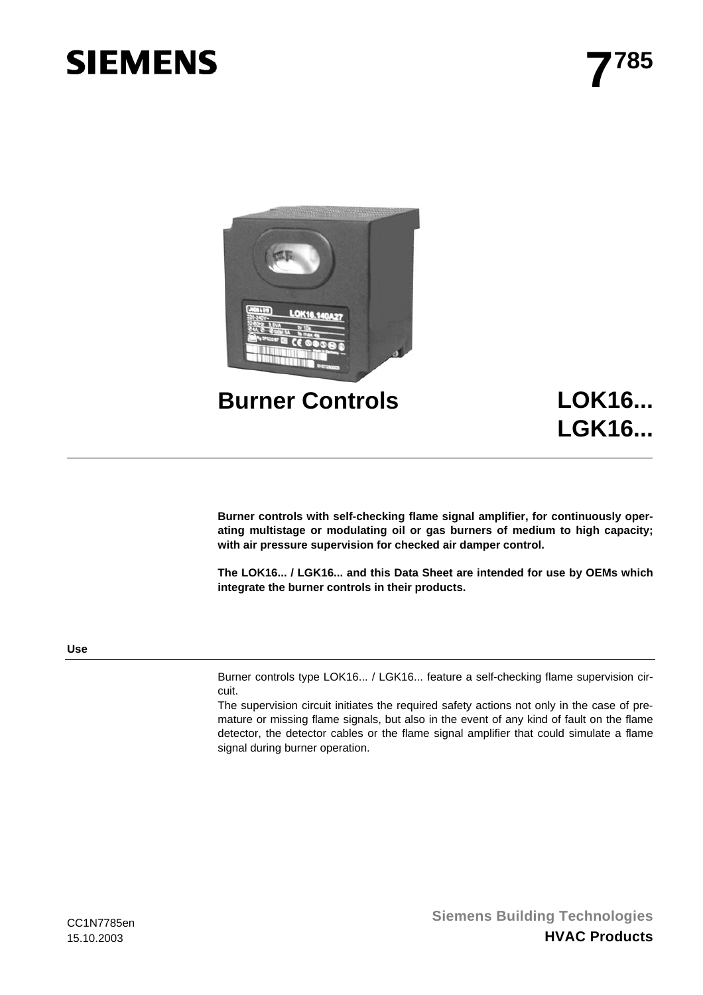# **SIEMENS**



**LGK16...**

**Burner controls with self-checking flame signal amplifier, for continuously operating multistage or modulating oil or gas burners of medium to high capacity; with air pressure supervision for checked air damper control.** 

**The LOK16... / LGK16... and this Data Sheet are intended for use by OEMs which integrate the burner controls in their products.** 

# **Use**

Burner controls type LOK16... / LGK16... feature a self-checking flame supervision circuit.

The supervision circuit initiates the required safety actions not only in the case of premature or missing flame signals, but also in the event of any kind of fault on the flame detector, the detector cables or the flame signal amplifier that could simulate a flame signal during burner operation.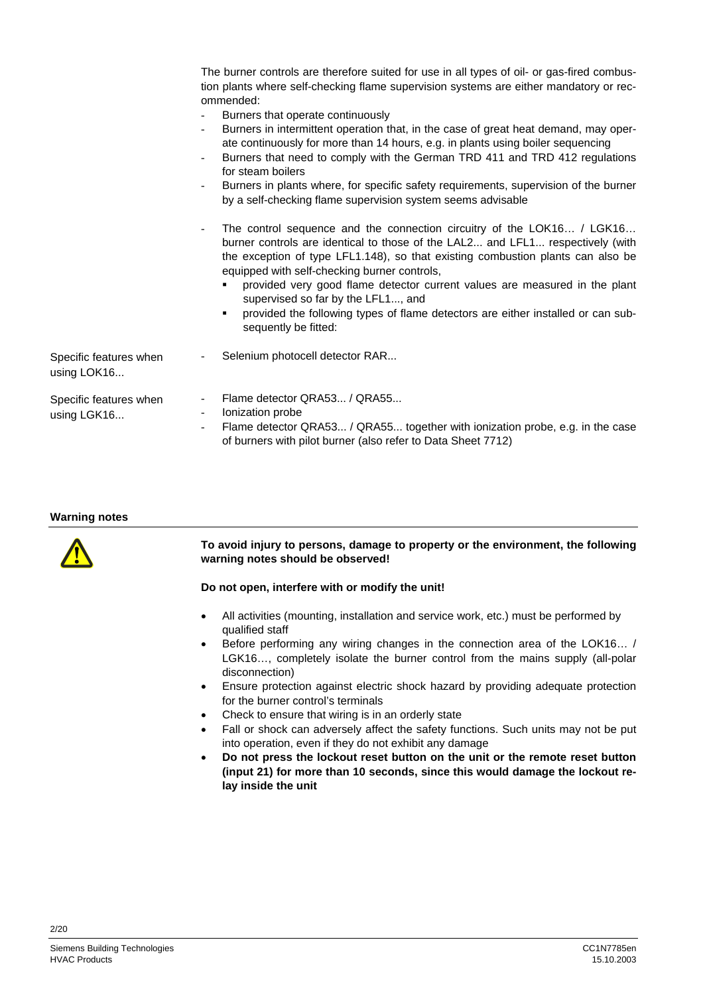|                                       | The burner controls are therefore suited for use in all types of oil- or gas-fired combus-<br>tion plants where self-checking flame supervision systems are either mandatory or rec-<br>ommended:<br>Burners that operate continuously<br>Burners in intermittent operation that, in the case of great heat demand, may oper-<br>ate continuously for more than 14 hours, e.g. in plants using boiler sequencing<br>Burners that need to comply with the German TRD 411 and TRD 412 regulations<br>$\overline{\phantom{a}}$<br>for steam boilers<br>Burners in plants where, for specific safety requirements, supervision of the burner<br>by a self-checking flame supervision system seems advisable<br>The control sequence and the connection circuitry of the LOK16 / LGK16<br>$\overline{\phantom{0}}$<br>burner controls are identical to those of the LAL2 and LFL1 respectively (with<br>the exception of type LFL1.148), so that existing combustion plants can also be<br>equipped with self-checking burner controls,<br>provided very good flame detector current values are measured in the plant<br>supervised so far by the LFL1, and |
|---------------------------------------|--------------------------------------------------------------------------------------------------------------------------------------------------------------------------------------------------------------------------------------------------------------------------------------------------------------------------------------------------------------------------------------------------------------------------------------------------------------------------------------------------------------------------------------------------------------------------------------------------------------------------------------------------------------------------------------------------------------------------------------------------------------------------------------------------------------------------------------------------------------------------------------------------------------------------------------------------------------------------------------------------------------------------------------------------------------------------------------------------------------------------------------------------------|
|                                       | provided the following types of flame detectors are either installed or can sub-<br>٠<br>sequently be fitted:                                                                                                                                                                                                                                                                                                                                                                                                                                                                                                                                                                                                                                                                                                                                                                                                                                                                                                                                                                                                                                          |
| Specific features when<br>using LOK16 | Selenium photocell detector RAR                                                                                                                                                                                                                                                                                                                                                                                                                                                                                                                                                                                                                                                                                                                                                                                                                                                                                                                                                                                                                                                                                                                        |
| Specific features when<br>using LGK16 | Flame detector QRA53 / QRA55<br>$\overline{\phantom{0}}$<br>Ionization probe<br>Ξ.<br>Flame detector QRA53 / QRA55 together with ionization probe, e.g. in the case<br>of burners with pilot burner (also refer to Data Sheet 7712)                                                                                                                                                                                                                                                                                                                                                                                                                                                                                                                                                                                                                                                                                                                                                                                                                                                                                                                    |

#### **Warning notes**



#### **To avoid injury to persons, damage to property or the environment, the following warning notes should be observed!**

#### **Do not open, interfere with or modify the unit!**

- All activities (mounting, installation and service work, etc.) must be performed by qualified staff
- Before performing any wiring changes in the connection area of the LOK16… / LGK16…, completely isolate the burner control from the mains supply (all-polar disconnection)
- Ensure protection against electric shock hazard by providing adequate protection for the burner control's terminals
- Check to ensure that wiring is in an orderly state
- Fall or shock can adversely affect the safety functions. Such units may not be put into operation, even if they do not exhibit any damage
- **Do not press the lockout reset button on the unit or the remote reset button (input 21) for more than 10 seconds, since this would damage the lockout relay inside the unit**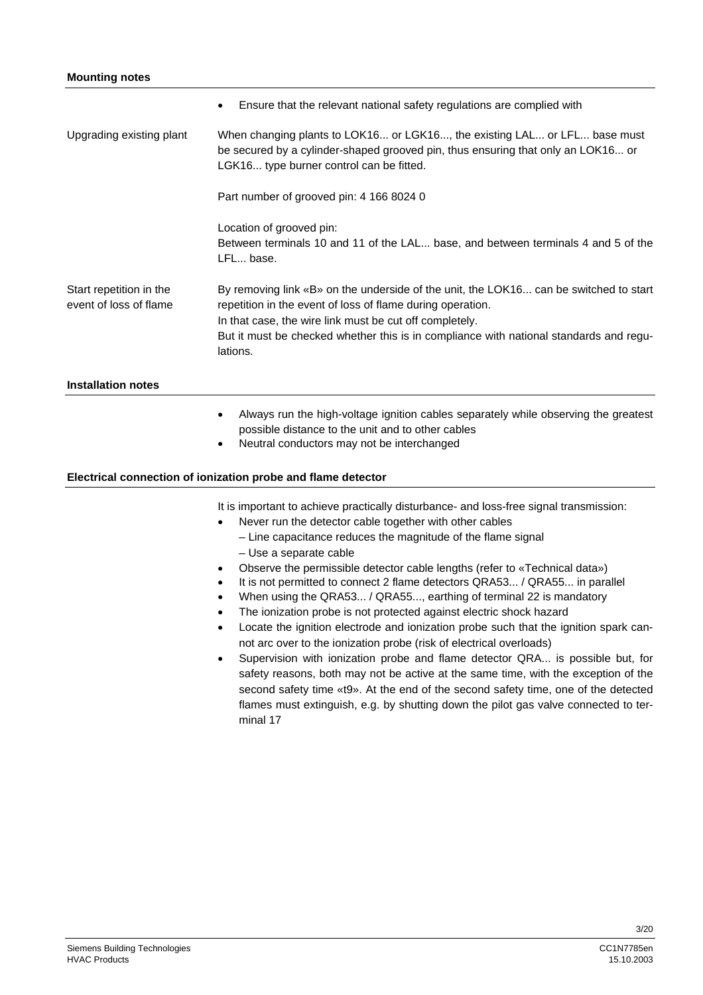## **Mounting notes**

|                                                   | Ensure that the relevant national safety regulations are complied with<br>$\bullet$                                                                                                                                                                                                                                  |  |  |  |
|---------------------------------------------------|----------------------------------------------------------------------------------------------------------------------------------------------------------------------------------------------------------------------------------------------------------------------------------------------------------------------|--|--|--|
| Upgrading existing plant                          | When changing plants to LOK16 or LGK16, the existing LAL or LFL base must<br>be secured by a cylinder-shaped grooved pin, thus ensuring that only an LOK16 or<br>LGK16 type burner control can be fitted.                                                                                                            |  |  |  |
|                                                   | Part number of grooved pin: 4 166 8024 0                                                                                                                                                                                                                                                                             |  |  |  |
|                                                   | Location of grooved pin:<br>Between terminals 10 and 11 of the LAL base, and between terminals 4 and 5 of the<br>LFL base.                                                                                                                                                                                           |  |  |  |
| Start repetition in the<br>event of loss of flame | By removing link «B» on the underside of the unit, the LOK16 can be switched to start<br>repetition in the event of loss of flame during operation.<br>In that case, the wire link must be cut off completely.<br>But it must be checked whether this is in compliance with national standards and regu-<br>lations. |  |  |  |
| <b>Installation notes</b>                         |                                                                                                                                                                                                                                                                                                                      |  |  |  |
|                                                   | Always run the high-voltage ignition cables separately while observing the greatest<br>٠                                                                                                                                                                                                                             |  |  |  |

- possible distance to the unit and to other cables
- Neutral conductors may not be interchanged

## **Electrical connection of ionization probe and flame detector**

It is important to achieve practically disturbance- and loss-free signal transmission:

- Never run the detector cable together with other cables
	- Line capacitance reduces the magnitude of the flame signal
	- Use a separate cable
- Observe the permissible detector cable lengths (refer to «Technical data»)
- It is not permitted to connect 2 flame detectors QRA53... / QRA55... in parallel
- When using the QRA53... / QRA55..., earthing of terminal 22 is mandatory
- The ionization probe is not protected against electric shock hazard
- Locate the ignition electrode and ionization probe such that the ignition spark cannot arc over to the ionization probe (risk of electrical overloads)
- Supervision with ionization probe and flame detector QRA... is possible but, for safety reasons, both may not be active at the same time, with the exception of the second safety time «t9». At the end of the second safety time, one of the detected flames must extinguish, e.g. by shutting down the pilot gas valve connected to terminal 17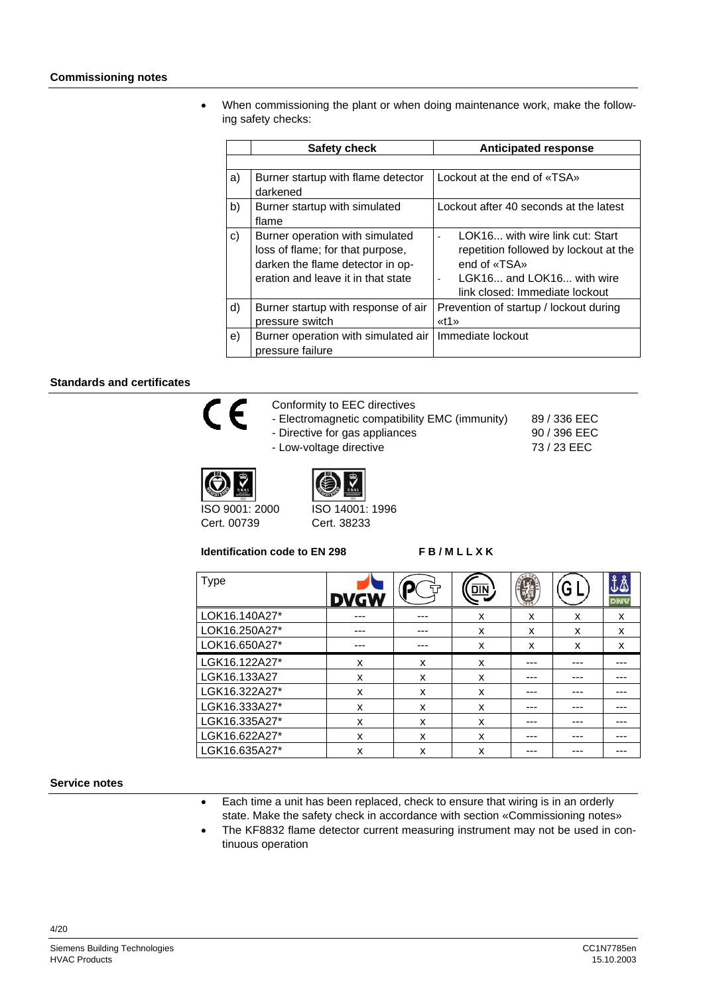#### **Commissioning notes**

• When commissioning the plant or when doing maintenance work, make the following safety checks:

|              | Safety check                                                                                                                                  | <b>Anticipated response</b>                                                                                                                             |
|--------------|-----------------------------------------------------------------------------------------------------------------------------------------------|---------------------------------------------------------------------------------------------------------------------------------------------------------|
|              |                                                                                                                                               |                                                                                                                                                         |
| a)           | Burner startup with flame detector<br>darkened                                                                                                | Lockout at the end of «TSA»                                                                                                                             |
| b)           | Burner startup with simulated<br>flame                                                                                                        | Lockout after 40 seconds at the latest                                                                                                                  |
| $\mathbf{C}$ | Burner operation with simulated<br>loss of flame; for that purpose,<br>darken the flame detector in op-<br>eration and leave it in that state | LOK16 with wire link cut: Start<br>repetition followed by lockout at the<br>end of «TSA»<br>LGK16 and LOK16 with wire<br>link closed: Immediate lockout |
| d)           | Burner startup with response of air<br>pressure switch                                                                                        | Prevention of startup / lockout during<br>$xt1$                                                                                                         |
| e)           | Burner operation with simulated air<br>pressure failure                                                                                       | Immediate lockout                                                                                                                                       |

## **Standards and certificates**



- Conformity to EEC directives
- Electromagnetic compatibility EMC (immunity)
- Directive for gas appliances
- Low-voltage directive
- 





ISO 9001: 2000 Cert. 00739

ISO 14001: 1996 Cert. 38233

**Identification code to EN 298 F B / M L L X K** 

89 / 336 EEC 90 / 396 EEC 73 / 23 EEC

| Type          |   |   | <u>DIN</u> |   |   | DNV |
|---------------|---|---|------------|---|---|-----|
| LOK16.140A27* |   |   | x          | x | x | x   |
| LOK16.250A27* |   |   | x          | x | x | x   |
| LOK16.650A27* |   |   | x          | X | x | x   |
| LGK16.122A27* | X | x | x          |   |   |     |
| LGK16.133A27  | x | x | x          |   |   |     |
| LGK16.322A27* | x | x | x          |   |   |     |
| LGK16.333A27* | X | x | x          |   |   |     |
| LGK16.335A27* | X | x | x          |   |   |     |
| LGK16.622A27* | X | x | x          |   |   |     |
| LGK16.635A27* | X | X | x          |   |   |     |

**Service notes** 

- Each time a unit has been replaced, check to ensure that wiring is in an orderly state. Make the safety check in accordance with section «Commissioning notes»
- The KF8832 flame detector current measuring instrument may not be used in continuous operation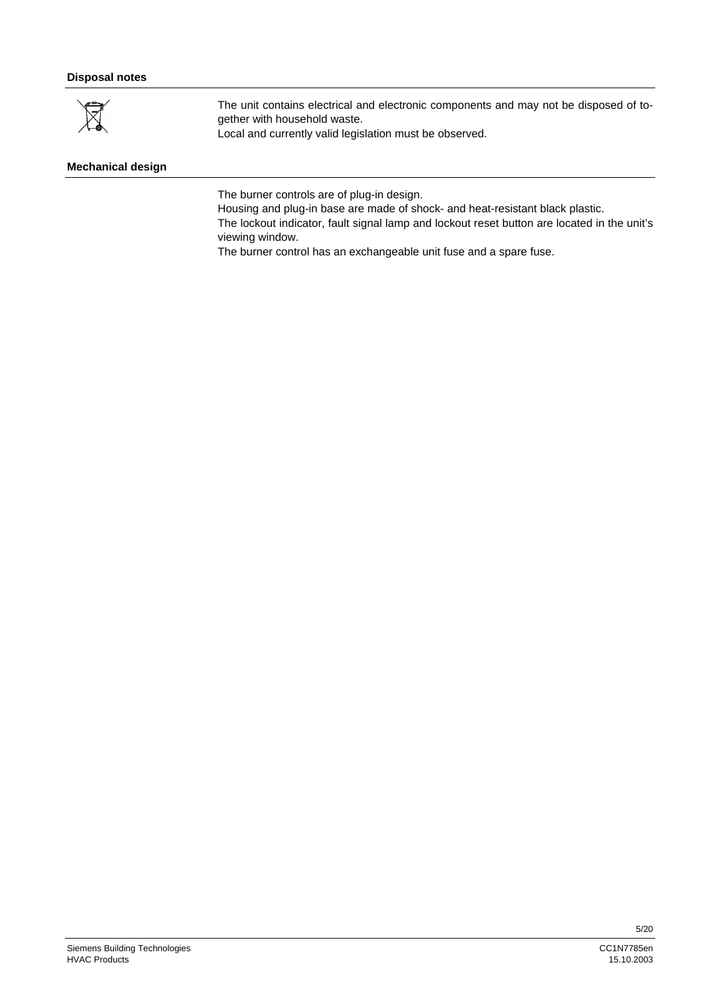## **Disposal notes**



The unit contains electrical and electronic components and may not be disposed of together with household waste.

Local and currently valid legislation must be observed.

# **Mechanical design**

The burner controls are of plug-in design.

Housing and plug-in base are made of shock- and heat-resistant black plastic.

The lockout indicator, fault signal lamp and lockout reset button are located in the unit's viewing window.

The burner control has an exchangeable unit fuse and a spare fuse.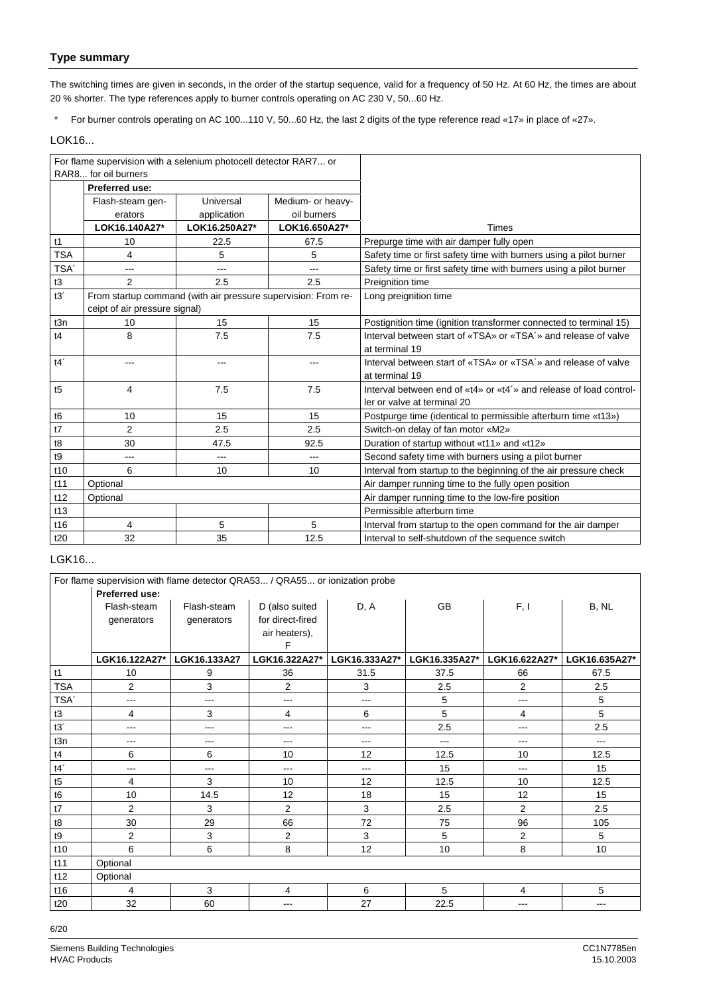# **Type summary**

The switching times are given in seconds, in the order of the startup sequence, valid for a frequency of 50 Hz. At 60 Hz, the times are about 20 % shorter. The type references apply to burner controls operating on AC 230 V, 50...60 Hz.

\* For burner controls operating on AC 100...110 V, 50...60 Hz, the last 2 digits of the type reference read «17» in place of «27».

## LOK16...

| For flame supervision with a selenium photocell detector RAR7 or |                               |                                                               |                   |                                                                    |
|------------------------------------------------------------------|-------------------------------|---------------------------------------------------------------|-------------------|--------------------------------------------------------------------|
|                                                                  | RAR8 for oil burners          |                                                               |                   |                                                                    |
|                                                                  | Preferred use:                |                                                               |                   |                                                                    |
|                                                                  | Flash-steam gen-              | Universal                                                     | Medium- or heavy- |                                                                    |
|                                                                  | erators                       | application                                                   | oil burners       |                                                                    |
|                                                                  | LOK16.140A27*                 | LOK16.250A27*                                                 | LOK16.650A27*     | <b>Times</b>                                                       |
| t1                                                               | 10                            | 22.5                                                          | 67.5              | Prepurge time with air damper fully open                           |
| <b>TSA</b>                                                       | 4                             | 5                                                             | 5                 | Safety time or first safety time with burners using a pilot burner |
| TSA <sup>'</sup>                                                 | $---$                         | ---                                                           | $---$             | Safety time or first safety time with burners using a pilot burner |
| t3                                                               | $\overline{2}$                | 2.5                                                           | 2.5               | Preignition time                                                   |
| t3'                                                              |                               | From startup command (with air pressure supervision: From re- |                   | Long preignition time                                              |
|                                                                  | ceipt of air pressure signal) |                                                               |                   |                                                                    |
| t3n                                                              | 10                            | 15                                                            | 15                | Postignition time (ignition transformer connected to terminal 15)  |
| t4                                                               | 8                             | 7.5                                                           | 7.5               | Interval between start of «TSA» or «TSA'» and release of valve     |
|                                                                  |                               |                                                               |                   | at terminal 19                                                     |
| t4'                                                              | ---                           | ---                                                           | ---               | Interval between start of «TSA» or «TSA'» and release of valve     |
|                                                                  |                               |                                                               |                   | at terminal 19                                                     |
| t5                                                               | 4                             | 7.5                                                           | 7.5               | Interval between end of «t4» or «t4'» and release of load control- |
|                                                                  |                               |                                                               |                   | ler or valve at terminal 20                                        |
| t <sub>6</sub>                                                   | 10                            | 15                                                            | 15                | Postpurge time (identical to permissible afterburn time «t13»)     |
| t7                                                               | 2                             | 2.5                                                           | 2.5               | Switch-on delay of fan motor «M2»                                  |
| t8                                                               | 30                            | 47.5                                                          | 92.5              | Duration of startup without «t11» and «t12»                        |
| t9                                                               | $---$                         | ---                                                           | $---$             | Second safety time with burners using a pilot burner               |
| t10                                                              | 6                             | 10                                                            | 10                | Interval from startup to the beginning of the air pressure check   |
| t11                                                              | Optional                      |                                                               |                   | Air damper running time to the fully open position                 |
| t12                                                              | Optional                      |                                                               |                   | Air damper running time to the low-fire position                   |
| t13                                                              |                               |                                                               |                   | Permissible afterburn time                                         |
| t16                                                              | 4                             | 5                                                             | 5                 | Interval from startup to the open command for the air damper       |
| t20                                                              | 32                            | 35                                                            | 12.5              | Interval to self-shutdown of the sequence switch                   |

## LGK16...

|                  | For flame supervision with flame detector QRA53 / QRA55 or ionization probe |                        |                  |               |               |                |                |
|------------------|-----------------------------------------------------------------------------|------------------------|------------------|---------------|---------------|----------------|----------------|
|                  | Preferred use:                                                              |                        |                  |               |               |                |                |
|                  | Flash-steam                                                                 | Flash-steam            | D (also suited   | D, A          | <b>GB</b>     | F, I           | B, NL          |
|                  | generators                                                                  | generators             | for direct-fired |               |               |                |                |
|                  |                                                                             |                        | air heaters),    |               |               |                |                |
|                  |                                                                             |                        | F                |               |               |                |                |
|                  | LGK16.122A27*                                                               | LGK16.133A27           | LGK16.322A27*    | LGK16.333A27* | LGK16.335A27* | LGK16.622A27*  | LGK16.635A27*  |
| t1               | 10                                                                          | 9                      | 36               | 31.5          | 37.5          | 66             | 67.5           |
| <b>TSA</b>       | $\overline{2}$                                                              | 3                      | 2                | 3             | 2.5           | 2              | 2.5            |
| TSA <sup>'</sup> | ---                                                                         | $\qquad \qquad \cdots$ | ---              | $---$         | 5             | ---            | 5              |
| t3               | 4                                                                           | 3                      | 4                | 6             | 5             | 4              | 5              |
| t3'              | ---                                                                         | ---                    | ---              | $---$         | 2.5           | ---            | 2.5            |
| t3n              | ---                                                                         | ---                    | ---              | $--$          | ---           | ---            | $---$          |
| t4               | 6                                                                           | 6                      | 10               | 12            | 12.5          | 10             | 12.5           |
| t4'              | ---                                                                         | ---                    | ---              | $---$         | 15            | ---            | 15             |
| t5               | 4                                                                           | 3                      | 10               | 12            | 12.5          | 10             | 12.5           |
| t6               | 10                                                                          | 14.5                   | 12               | 18            | 15            | 12             | 15             |
| t7               | $\overline{2}$                                                              | 3                      | 2                | $\mathbf{3}$  | 2.5           | $\overline{2}$ | 2.5            |
| t8               | 30                                                                          | 29                     | 66               | 72            | 75            | 96             | 105            |
| t9               | $\overline{2}$                                                              | $\mathbf{3}$           | 2                | 3             | 5             | 2              | $\overline{5}$ |
| t10              | 6                                                                           | 6                      | 8                | 12            | 10            | 8              | 10             |
| t11              | Optional                                                                    |                        |                  |               |               |                |                |
| t12              | Optional                                                                    |                        |                  |               |               |                |                |
| t16              | 4                                                                           | 3                      | 4                | 6             | 5             | 4              | 5              |
| t20              | 32                                                                          | 60                     | ---              | 27            | 22.5          | $---$          | $\cdots$       |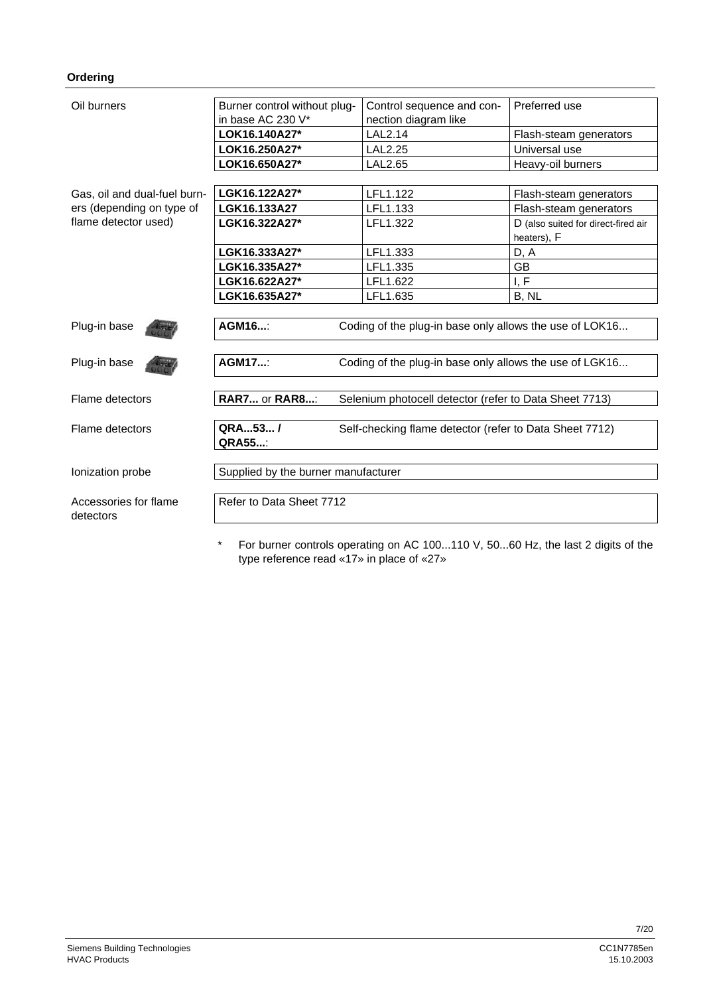## **Ordering**

| Oil burners<br>Burner control without plug- |                                     | Control sequence and con-                               | Preferred use                                      |  |
|---------------------------------------------|-------------------------------------|---------------------------------------------------------|----------------------------------------------------|--|
|                                             | in base AC 230 V*                   | nection diagram like                                    |                                                    |  |
|                                             | LOK16.140A27*                       | LAL2.14                                                 | Flash-steam generators                             |  |
|                                             | LOK16.250A27*                       | <b>LAL2.25</b>                                          | Universal use                                      |  |
|                                             | LOK16.650A27*                       | LAL2.65                                                 | Heavy-oil burners                                  |  |
|                                             |                                     |                                                         |                                                    |  |
| Gas, oil and dual-fuel burn-                | LGK16.122A27*                       | LFL1.122                                                | Flash-steam generators                             |  |
| ers (depending on type of                   | LGK16.133A27                        | LFL1.133                                                | Flash-steam generators                             |  |
| flame detector used)                        | LGK16.322A27*                       | LFL1.322                                                | D (also suited for direct-fired air<br>heaters), F |  |
|                                             | LGK16.333A27*                       | LFL1.333                                                | D, A                                               |  |
|                                             | LGK16.335A27*                       | LFL1.335                                                | GB                                                 |  |
|                                             | LGK16.622A27*                       | LFL1.622                                                | I, F                                               |  |
|                                             | LGK16.635A27*                       | LFL1.635                                                | B, NL                                              |  |
|                                             |                                     |                                                         |                                                    |  |
| Plug-in base                                | AGM16:                              | Coding of the plug-in base only allows the use of LOK16 |                                                    |  |
| Plug-in base                                | <b>AGM17:</b>                       | Coding of the plug-in base only allows the use of LGK16 |                                                    |  |
| Flame detectors                             | <b>RAR7 or RAR8:</b>                | Selenium photocell detector (refer to Data Sheet 7713)  |                                                    |  |
| Flame detectors                             | QRA53/<br><b>QRA55</b> :            | Self-checking flame detector (refer to Data Sheet 7712) |                                                    |  |
| Ionization probe                            | Supplied by the burner manufacturer |                                                         |                                                    |  |
| Accessories for flame<br>detectors          | Refer to Data Sheet 7712            |                                                         |                                                    |  |
|                                             |                                     |                                                         |                                                    |  |

\* For burner controls operating on AC 100...110 V, 50...60 Hz, the last 2 digits of the type reference read «17» in place of «27»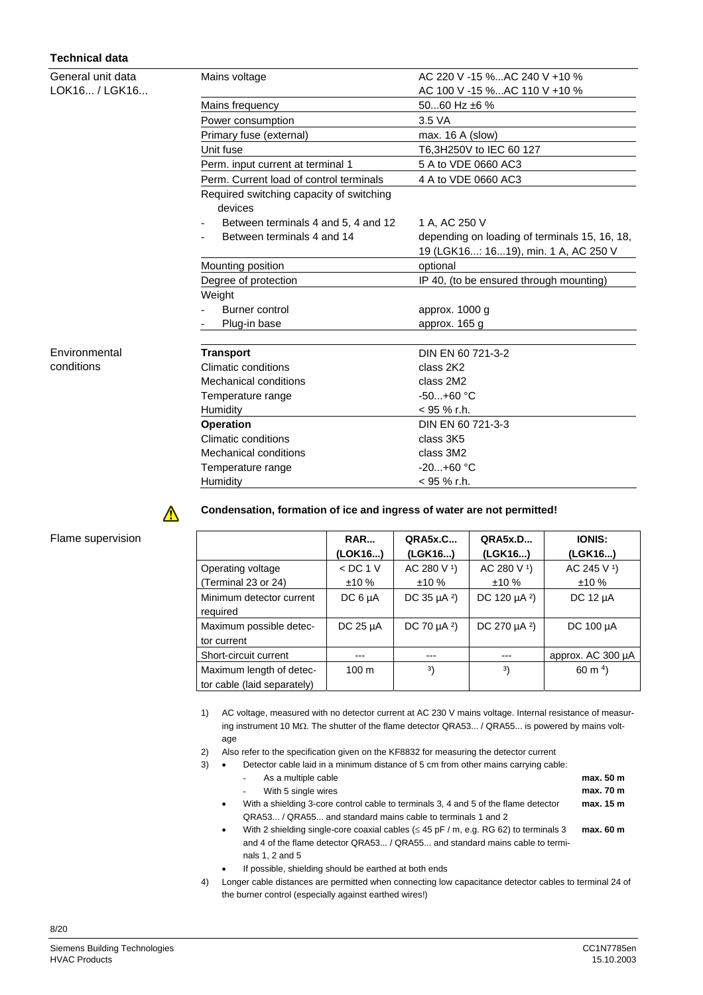# **Technical data**

| General unit data | Mains voltage                                       | AC 220 V -15 %AC 240 V +10 %                  |  |  |
|-------------------|-----------------------------------------------------|-----------------------------------------------|--|--|
| LOK16 / LGK16     |                                                     | AC 100 V -15 %AC 110 V +10 %                  |  |  |
|                   | Mains frequency                                     | 5060 Hz $\pm 6$ %                             |  |  |
|                   | Power consumption                                   | 3.5 VA                                        |  |  |
|                   | Primary fuse (external)                             | max. 16 A (slow)                              |  |  |
|                   | Unit fuse                                           | T6,3H250V to IEC 60 127                       |  |  |
|                   | Perm. input current at terminal 1                   | 5 A to VDE 0660 AC3                           |  |  |
|                   | Perm. Current load of control terminals             | 4 A to VDE 0660 AC3                           |  |  |
|                   | Required switching capacity of switching<br>devices |                                               |  |  |
|                   | Between terminals 4 and 5, 4 and 12                 | 1 A, AC 250 V                                 |  |  |
|                   | Between terminals 4 and 14                          | depending on loading of terminals 15, 16, 18, |  |  |
|                   |                                                     | 19 (LGK16: 1619), min. 1 A, AC 250 V          |  |  |
|                   | Mounting position                                   | optional                                      |  |  |
|                   | Degree of protection                                | IP 40, (to be ensured through mounting)       |  |  |
|                   | Weight                                              |                                               |  |  |
|                   | Burner control                                      | approx. 1000 g                                |  |  |
|                   | Plug-in base                                        | approx. 165 g                                 |  |  |
| Environmental     | <b>Transport</b>                                    | DIN EN 60 721-3-2                             |  |  |
| conditions        | <b>Climatic conditions</b>                          | class 2K2                                     |  |  |
|                   | Mechanical conditions                               | class 2M2                                     |  |  |
|                   | Temperature range                                   | $-50+60$ °C                                   |  |  |
|                   | Humidity                                            | $<$ 95 % r.h.                                 |  |  |
|                   | <b>Operation</b>                                    | DIN EN 60 721-3-3                             |  |  |
|                   | Climatic conditions                                 | class 3K5                                     |  |  |
|                   | Mechanical conditions                               | class 3M2                                     |  |  |
|                   | Temperature range                                   | $-20+60 °C$                                   |  |  |
|                   | Humidity                                            | $<$ 95 % r.h.                                 |  |  |



3)

## Flame supervision

|                                                         | RAR<br>(LOK16)    | <b>QRA5x.C</b><br>(LGK16)    | QRA5x.D<br>(LGK16)            | <b>IONIS:</b><br>(LGK16) |
|---------------------------------------------------------|-------------------|------------------------------|-------------------------------|--------------------------|
| Operating voltage                                       | $<$ DC 1 V        | AC 280 V 1)                  | AC 280 V 1)                   | AC 245 V 1)              |
| (Terminal 23 or 24)                                     | ±10%              | ±10%                         | ±10%                          | ±10%                     |
| Minimum detector current<br>required                    | DC6 <sub>µA</sub> | DC 35 $\mu$ A <sup>2</sup> ) | DC 120 $\mu$ A <sup>2</sup> ) | DC $12 \mu A$            |
| Maximum possible detec-<br>tor current                  | DC $25 \mu A$     | DC 70 $\mu$ A <sup>2</sup> ) | DC 270 $\mu$ A <sup>2</sup> ) | DC $100 \mu A$           |
| Short-circuit current                                   | ---               | ---                          | $---$                         | approx. AC 300 µA        |
| Maximum length of detec-<br>tor cable (laid separately) | 100 <sub>m</sub>  | 3)                           | 3)                            | 60 m $^{4}$ )            |

1) AC voltage, measured with no detector current at AC 230 V mains voltage. Internal resistance of measuring instrument 10 MΩ. The shutter of the flame detector QRA53... / QRA55... is powered by mains voltage

2) Also refer to the specification given on the KF8832 for measuring the detector current

**Condensation, formation of ice and ingress of water are not permitted!**

| $\bullet$ | Detector cable laid in a minimum distance of 5 cm from other mains carrying cable:                |              |
|-----------|---------------------------------------------------------------------------------------------------|--------------|
|           | As a multiple cable                                                                               | max. 50 m    |
|           | With 5 single wires                                                                               | max. 70 m    |
| $\bullet$ | With a shielding 3-core control cable to terminals 3, 4 and 5 of the flame detector               | max. 15 m    |
|           | QRA53 / QRA55 and standard mains cable to terminals 1 and 2                                       |              |
|           | With 2 shielding single-care coavial cables $($ $\leq$ $15$ pF $\mid$ m e g RG 62) to terminals 3 | $may$ 60 $m$ |

- With 2 shielding single-core coaxial cables ( $\leq$  45 pF / m, e.g. RG 62) to terminals 3 and 4 of the flame detector QRA53... / QRA55... and standard mains cable to terminals 1, 2 and 5 **max. 60 m**
- If possible, shielding should be earthed at both ends
- 4) Longer cable distances are permitted when connecting low capacitance detector cables to terminal 24 of the burner control (especially against earthed wires!)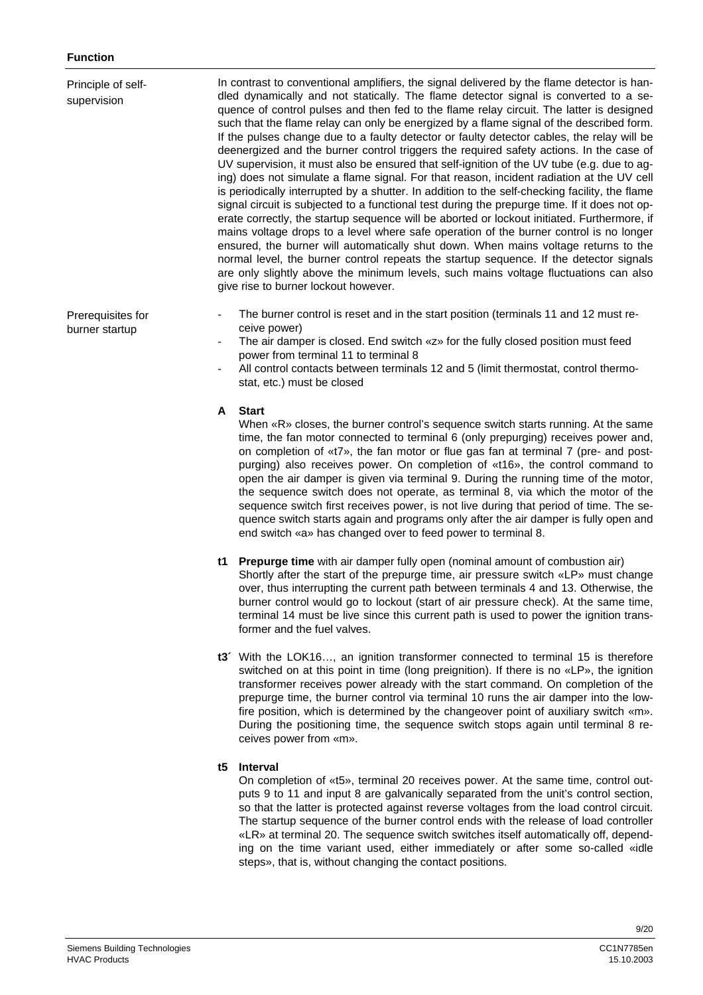| Principle of self-<br>supervision   | In contrast to conventional amplifiers, the signal delivered by the flame detector is han-<br>dled dynamically and not statically. The flame detector signal is converted to a se-<br>quence of control pulses and then fed to the flame relay circuit. The latter is designed<br>such that the flame relay can only be energized by a flame signal of the described form.<br>If the pulses change due to a faulty detector or faulty detector cables, the relay will be<br>deenergized and the burner control triggers the required safety actions. In the case of<br>UV supervision, it must also be ensured that self-ignition of the UV tube (e.g. due to ag-<br>ing) does not simulate a flame signal. For that reason, incident radiation at the UV cell<br>is periodically interrupted by a shutter. In addition to the self-checking facility, the flame<br>signal circuit is subjected to a functional test during the prepurge time. If it does not op-<br>erate correctly, the startup sequence will be aborted or lockout initiated. Furthermore, if<br>mains voltage drops to a level where safe operation of the burner control is no longer<br>ensured, the burner will automatically shut down. When mains voltage returns to the<br>normal level, the burner control repeats the startup sequence. If the detector signals<br>are only slightly above the minimum levels, such mains voltage fluctuations can also<br>give rise to burner lockout however. |
|-------------------------------------|-----------------------------------------------------------------------------------------------------------------------------------------------------------------------------------------------------------------------------------------------------------------------------------------------------------------------------------------------------------------------------------------------------------------------------------------------------------------------------------------------------------------------------------------------------------------------------------------------------------------------------------------------------------------------------------------------------------------------------------------------------------------------------------------------------------------------------------------------------------------------------------------------------------------------------------------------------------------------------------------------------------------------------------------------------------------------------------------------------------------------------------------------------------------------------------------------------------------------------------------------------------------------------------------------------------------------------------------------------------------------------------------------------------------------------------------------------------------------------|
| Prerequisites for<br>burner startup | The burner control is reset and in the start position (terminals 11 and 12 must re-<br>ceive power)<br>The air damper is closed. End switch «z» for the fully closed position must feed<br>power from terminal 11 to terminal 8<br>All control contacts between terminals 12 and 5 (limit thermostat, control thermo-<br>stat, etc.) must be closed                                                                                                                                                                                                                                                                                                                                                                                                                                                                                                                                                                                                                                                                                                                                                                                                                                                                                                                                                                                                                                                                                                                         |
|                                     | <b>Start</b><br>A<br>When «R» closes, the burner control's sequence switch starts running. At the same<br>time, the fan motor connected to terminal 6 (only prepurging) receives power and,<br>on completion of «t7», the fan motor or flue gas fan at terminal 7 (pre- and post-<br>purging) also receives power. On completion of «t16», the control command to<br>open the air damper is given via terminal 9. During the running time of the motor,<br>the sequence switch does not operate, as terminal 8, via which the motor of the<br>sequence switch first receives power, is not live during that period of time. The se-<br>quence switch starts again and programs only after the air damper is fully open and<br>end switch «a» has changed over to feed power to terminal 8.                                                                                                                                                                                                                                                                                                                                                                                                                                                                                                                                                                                                                                                                                  |
|                                     | t1 Prepurge time with air damper fully open (nominal amount of combustion air)<br>Shortly after the start of the prepurge time, air pressure switch «LP» must change<br>over, thus interrupting the current path between terminals 4 and 13. Otherwise, the<br>burner control would go to lockout (start of air pressure check). At the same time,<br>terminal 14 must be live since this current path is used to power the ignition trans-<br>former and the fuel valves.                                                                                                                                                                                                                                                                                                                                                                                                                                                                                                                                                                                                                                                                                                                                                                                                                                                                                                                                                                                                  |

**t3´** With the LOK16…, an ignition transformer connected to terminal 15 is therefore switched on at this point in time (long preignition). If there is no «LP», the ignition transformer receives power already with the start command. On completion of the prepurge time, the burner control via terminal 10 runs the air damper into the lowfire position, which is determined by the changeover point of auxiliary switch «m». During the positioning time, the sequence switch stops again until terminal 8 receives power from «m».

# **t5 Interval**

On completion of «t5», terminal 20 receives power. At the same time, control outputs 9 to 11 and input 8 are galvanically separated from the unit's control section, so that the latter is protected against reverse voltages from the load control circuit. The startup sequence of the burner control ends with the release of load controller «LR» at terminal 20. The sequence switch switches itself automatically off, depending on the time variant used, either immediately or after some so-called «idle steps», that is, without changing the contact positions.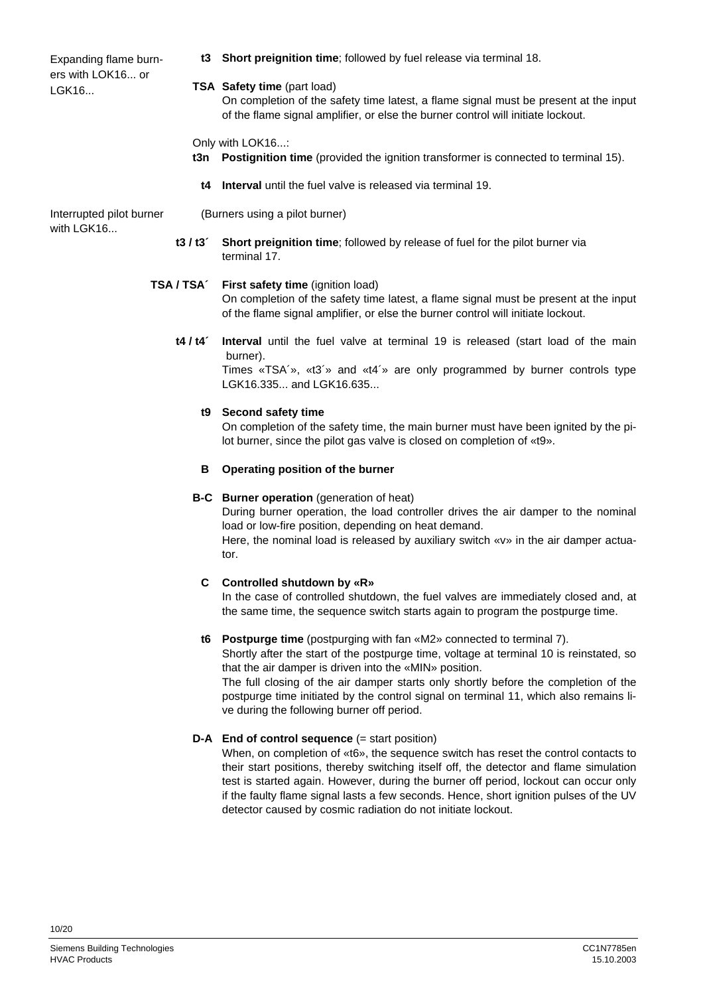Expanding flame burners with LOK16... or LGK16...

- **t3 Short preignition time**; followed by fuel release via terminal 18.
- **TSA Safety time** (part load)
	- On completion of the safety time latest, a flame signal must be present at the input of the flame signal amplifier, or else the burner control will initiate lockout.
- Only with LOK16...:
- **t3n Postignition time** (provided the ignition transformer is connected to terminal 15).
- **t4 Interval** until the fuel valve is released via terminal 19.

Interrupted pilot burner with LGK16...

(Burners using a pilot burner)

**t3 / t3´ Short preignition time**; followed by release of fuel for the pilot burner via terminal 17.

#### **TSA / TSA´ First safety time** (ignition load)

On completion of the safety time latest, a flame signal must be present at the input of the flame signal amplifier, or else the burner control will initiate lockout.

**t4 / t4´ Interval** until the fuel valve at terminal 19 is released (start load of the main burner).

Times «TSA´», «t3´» and «t4´» are only programmed by burner controls type LGK16.335... and LGK16.635...

#### **t9 Second safety time**

On completion of the safety time, the main burner must have been ignited by the pilot burner, since the pilot gas valve is closed on completion of «t9».

#### **B Operating position of the burner**

#### **B-C Burner operation** (generation of heat)

During burner operation, the load controller drives the air damper to the nominal load or low-fire position, depending on heat demand. Here, the nominal load is released by auxiliary switch «v» in the air damper actuator.

#### **C Controlled shutdown by «R»**

In the case of controlled shutdown, the fuel valves are immediately closed and, at the same time, the sequence switch starts again to program the postpurge time.

#### **t6 Postpurge time** (postpurging with fan «M2» connected to terminal 7).

Shortly after the start of the postpurge time, voltage at terminal 10 is reinstated, so that the air damper is driven into the «MIN» position.

The full closing of the air damper starts only shortly before the completion of the postpurge time initiated by the control signal on terminal 11, which also remains live during the following burner off period.

#### **D-A** End of control sequence (= start position)

When, on completion of «t6», the sequence switch has reset the control contacts to their start positions, thereby switching itself off, the detector and flame simulation test is started again. However, during the burner off period, lockout can occur only if the faulty flame signal lasts a few seconds. Hence, short ignition pulses of the UV detector caused by cosmic radiation do not initiate lockout.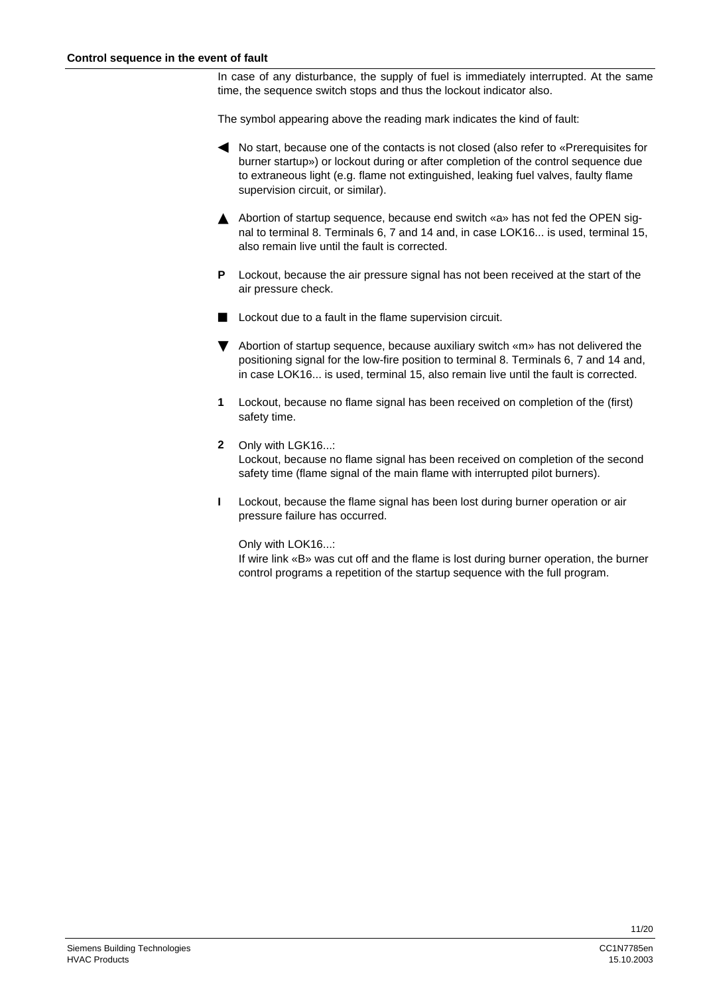In case of any disturbance, the supply of fuel is immediately interrupted. At the same time, the sequence switch stops and thus the lockout indicator also.

The symbol appearing above the reading mark indicates the kind of fault:

- h No start, because one of the contacts is not closed (also refer to «Prerequisites for burner startup») or lockout during or after completion of the control sequence due to extraneous light (e.g. flame not extinguished, leaking fuel valves, faulty flame supervision circuit, or similar).
- A Abortion of startup sequence, because end switch «a» has not fed the OPEN signal to terminal 8. Terminals 6, 7 and 14 and, in case LOK16... is used, terminal 15, also remain live until the fault is corrected.
- **P** Lockout, because the air pressure signal has not been received at the start of the air pressure check.
- **Lockout due to a fault in the flame supervision circuit.**
- $\blacktriangledown$  Abortion of startup sequence, because auxiliary switch «m» has not delivered the positioning signal for the low-fire position to terminal 8. Terminals 6, 7 and 14 and, in case LOK16... is used, terminal 15, also remain live until the fault is corrected.
- **1** Lockout, because no flame signal has been received on completion of the (first) safety time.
- **2** Only with LGK16...: Lockout, because no flame signal has been received on completion of the second safety time (flame signal of the main flame with interrupted pilot burners).
- **I** Lockout, because the flame signal has been lost during burner operation or air pressure failure has occurred.

Only with LOK16...:

If wire link «B» was cut off and the flame is lost during burner operation, the burner control programs a repetition of the startup sequence with the full program.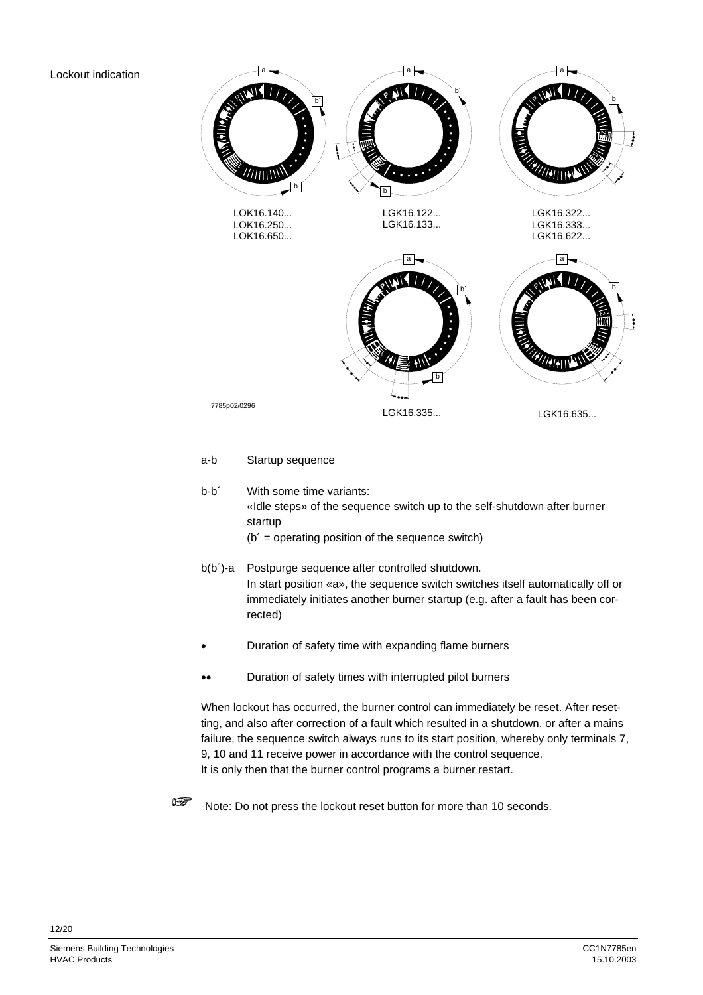# Lockout indication



# a-b Startup sequence

rected)

b-b<sup>2</sup> With some time variants: «Idle steps» of the sequence switch up to the self-shutdown after burner startup  $(b' =$  operating position of the sequence switch)

b(b´)-a Postpurge sequence after controlled shutdown. In start position «a», the sequence switch switches itself automatically off or immediately initiates another burner startup (e.g. after a fault has been cor-

- Duration of safety time with expanding flame burners
- •• Duration of safety times with interrupted pilot burners

When lockout has occurred, the burner control can immediately be reset. After resetting, and also after correction of a fault which resulted in a shutdown, or after a mains failure, the sequence switch always runs to its start position, whereby only terminals 7, 9, 10 and 11 receive power in accordance with the control sequence. It is only then that the burner control programs a burner restart.



Note: Do not press the lockout reset button for more than 10 seconds.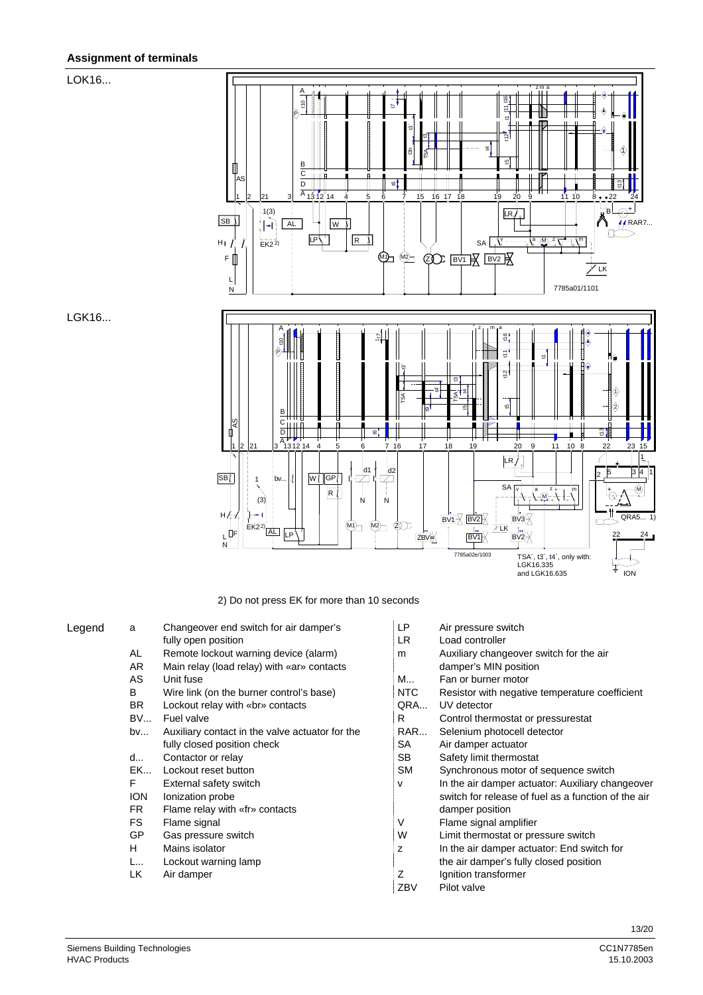# **Assignment of terminals**

# LOK16...



2) Do not press EK for more than 10 seconds

| Legend | a          | Changeover end switch for air damper's          | LP        | Air pressure switch                                 |
|--------|------------|-------------------------------------------------|-----------|-----------------------------------------------------|
|        |            | fully open position                             | LR.       | Load controller                                     |
|        | AL         | Remote lockout warning device (alarm)           | m         | Auxiliary changeover switch for the air             |
|        | AR.        | Main relay (load relay) with «ar» contacts      |           | damper's MIN position                               |
|        | AS         | Unit fuse                                       | M         | Fan or burner motor                                 |
|        | B          | Wire link (on the burner control's base)        | NTC       | Resistor with negative temperature coefficient      |
|        | <b>BR</b>  | Lockout relay with «br» contacts                | QRA       | UV detector                                         |
|        | <b>BV</b>  | Fuel valve                                      | R         | Control thermostat or pressurestat                  |
|        | bv         | Auxiliary contact in the valve actuator for the | RAR       | Selenium photocell detector                         |
|        |            | fully closed position check                     | <b>SA</b> | Air damper actuator                                 |
|        | d          | Contactor or relay                              | <b>SB</b> | Safety limit thermostat                             |
|        | EK         | Lockout reset button                            | <b>SM</b> | Synchronous motor of sequence switch                |
|        | F          | External safety switch                          | v         | In the air damper actuator: Auxiliary changeover    |
|        | <b>ION</b> | Ionization probe                                |           | switch for release of fuel as a function of the air |
|        | FR.        | Flame relay with «fr» contacts                  |           | damper position                                     |
|        | FS.        | Flame signal                                    | ٧         | Flame signal amplifier                              |
|        | GP         | Gas pressure switch                             | W         | Limit thermostat or pressure switch                 |
|        | H          | Mains isolator                                  | z         | In the air damper actuator: End switch for          |
|        | L          | Lockout warning lamp                            |           | the air damper's fully closed position              |
|        | LK         | Air damper                                      | Ζ         | Ignition transformer                                |
|        |            |                                                 | ZBV       | Pilot valve                                         |

| LР  | Air pressure switch                                 |
|-----|-----------------------------------------------------|
| LR  | Load controller                                     |
| m   | Auxiliary changeover switch for the air             |
|     | damper's MIN position                               |
| M   | Fan or burner motor                                 |
| NTC | Resistor with negative temperature coefficient      |
| QRA | <b>UV</b> detector                                  |
| R.  | Control thermostat or pressurestat                  |
| RAR | Selenium photocell detector                         |
| SА  | Air damper actuator                                 |
| SB  | Safety limit thermostat                             |
| SМ  | Synchronous motor of sequence switch                |
| v   | In the air damper actuator: Auxiliary changeover    |
|     | switch for release of fuel as a function of the air |
|     | damper position                                     |
| V   | Flame signal amplifier                              |
| W   | Limit thermostat or pressure switch                 |
| z   | In the air damper actuator: End switch for          |
|     | the air damper's fully closed position              |
| Z   | Ignition transformer                                |
| ZBV | Pilot valve                                         |

LGK16...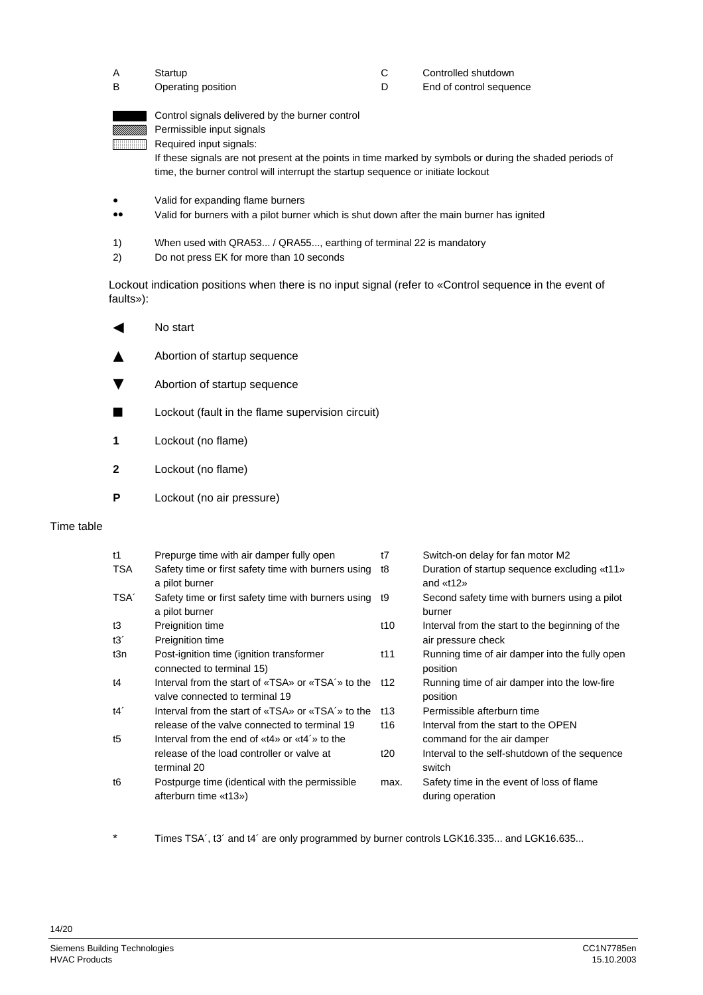| Startup            | Controlled shutdown     |
|--------------------|-------------------------|
| Operating position | End of control sequence |

| Control signals delivered by the burner control                                                          |
|----------------------------------------------------------------------------------------------------------|
| Permissible input signals                                                                                |
| Required input signals:                                                                                  |
| If these signals are not present at the points in time marked by symbols or during the shaded periods of |
| time, the burner control will interrupt the startup sequence or initiate lockout                         |

- Valid for expanding flame burners
- •• Valid for burners with a pilot burner which is shut down after the main burner has ignited
- 1) When used with QRA53... / QRA55..., earthing of terminal 22 is mandatory
- 2) Do not press EK for more than 10 seconds

Lockout indication positions when there is no input signal (refer to «Control sequence in the event of faults»):

| ◀ | No start                     |
|---|------------------------------|
|   | Abortion of startup sequence |

- 
- **v** Abortion of startup sequence
- **Lockout (fault in the flame supervision circuit)**
- **1** Lockout (no flame)
- **2** Lockout (no flame)
- **P** Lockout (no air pressure)

# Time table

| t1               | Prepurge time with air damper fully open                                                           | t7              | Switch-on delay for fan motor M2                                      |
|------------------|----------------------------------------------------------------------------------------------------|-----------------|-----------------------------------------------------------------------|
| TSA              | Safety time or first safety time with burners using<br>a pilot burner                              | t8              | Duration of startup sequence excluding «t11»<br>and $*12*$            |
| TSA <sup>'</sup> | Safety time or first safety time with burners using<br>a pilot burner                              | t9              | Second safety time with burners using a pilot<br>burner               |
| t3<br>t3'        | Preignition time<br>Preignition time                                                               | t10             | Interval from the start to the beginning of the<br>air pressure check |
| t3n              | Post-ignition time (ignition transformer<br>connected to terminal 15)                              | t <sub>11</sub> | Running time of air damper into the fully open<br>position            |
| t4               | Interval from the start of «TSA» or «TSA'» to the<br>valve connected to terminal 19                | t12             | Running time of air damper into the low-fire<br>position              |
| t4'              | Interval from the start of «TSA» or «TSA'» to the<br>release of the valve connected to terminal 19 | t13<br>t16      | Permissible afterburn time<br>Interval from the start to the OPEN     |
| t5               | Interval from the end of «t4» or «t4'» to the                                                      |                 | command for the air damper                                            |
|                  | release of the load controller or valve at<br>terminal 20                                          | t20             | Interval to the self-shutdown of the sequence<br>switch               |
| t6               | Postpurge time (identical with the permissible<br>afterburn time «t13»)                            | max.            | Safety time in the event of loss of flame<br>during operation         |

Times TSA´, t3´ and t4´ are only programmed by burner controls LGK16.335... and LGK16.635...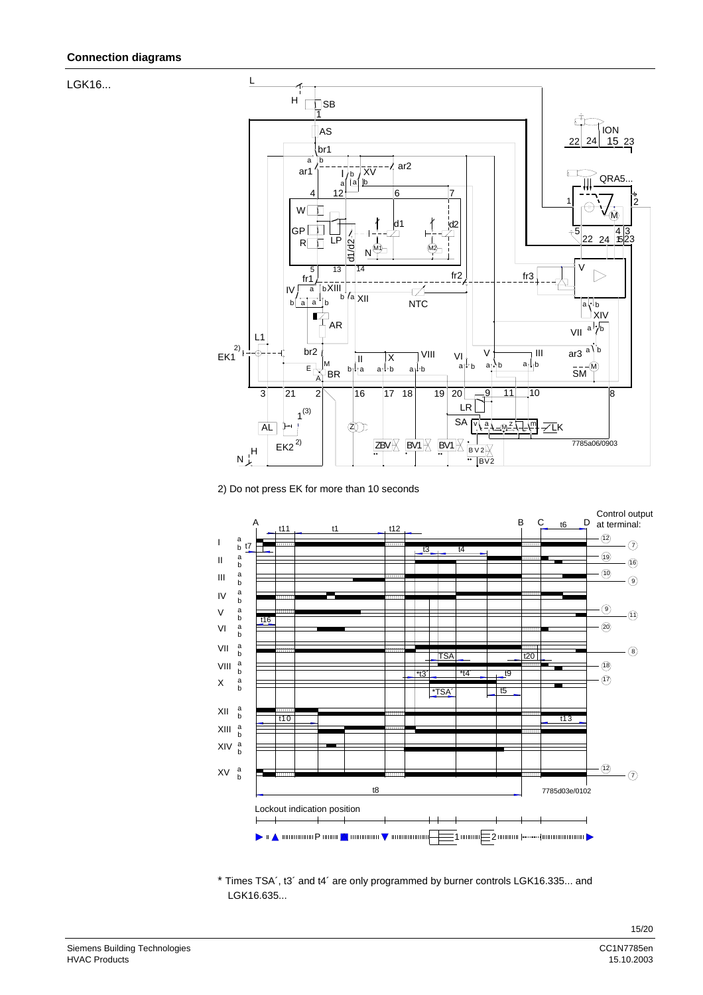LGK16...



2) Do not press EK for more than 10 seconds



\* Times TSA´, t3´ and t4´ are only programmed by burner controls LGK16.335... and LGK16.635...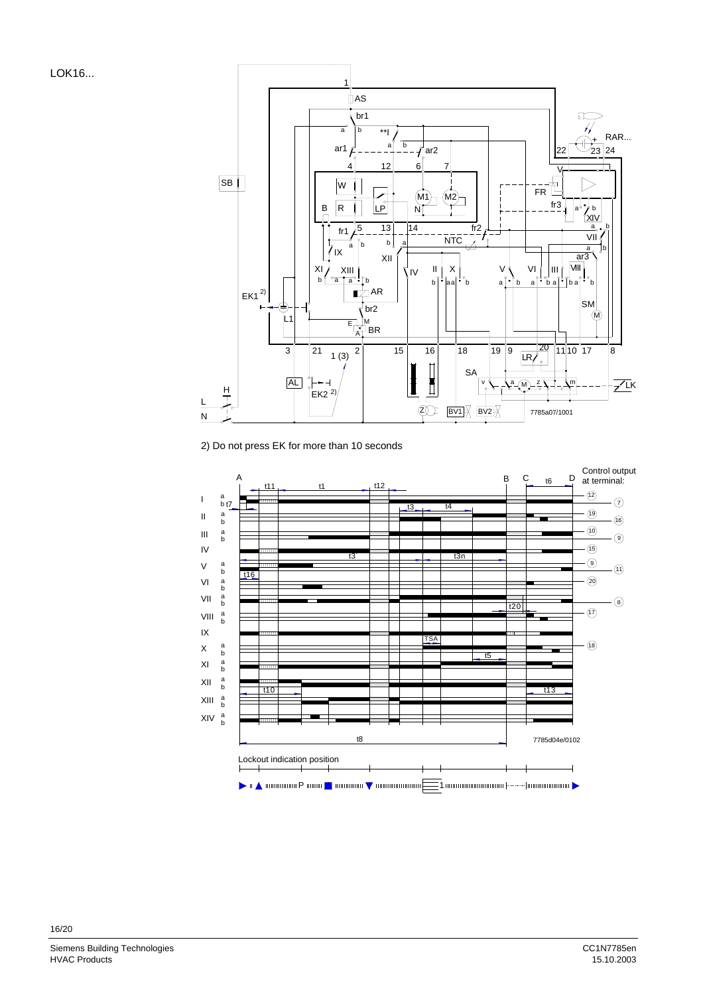LOK16...



2) Do not press EK for more than 10 seconds

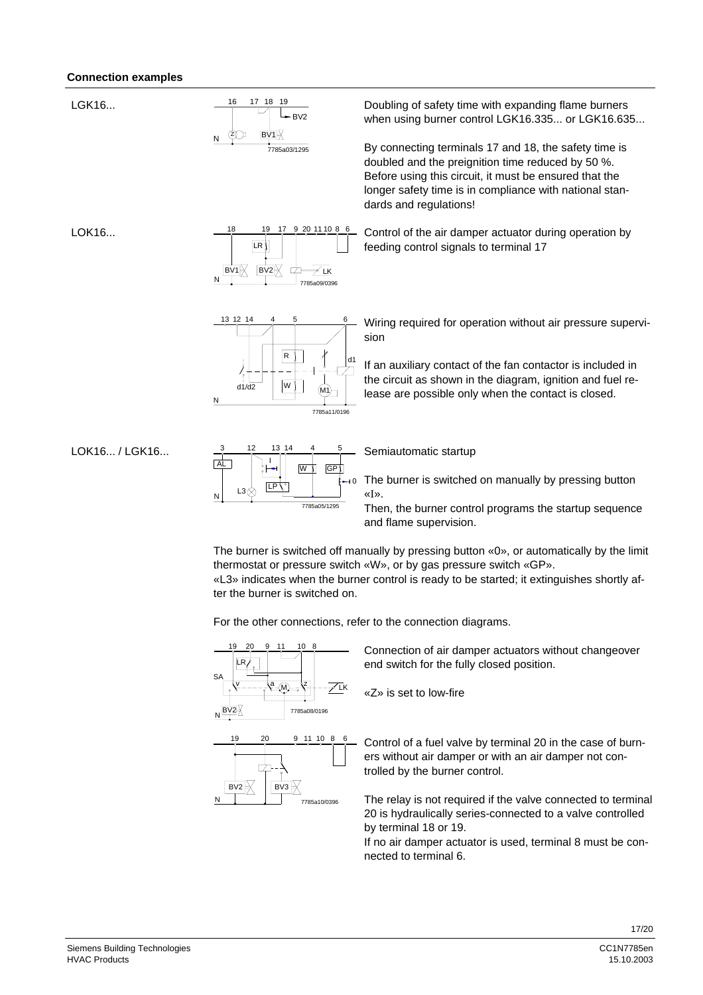## **Connection examples**

LGK16...



Doubling of safety time with expanding flame burners when using burner control LGK16.335... or LGK16.635...

By connecting terminals 17 and 18, the safety time is doubled and the preignition time reduced by 50 %. Before using this circuit, it must be ensured that the longer safety time is in compliance with national standards and regulations!

Control of the air damper actuator during operation by

feeding control signals to terminal 17

LOK16...



 $13 \t12 \t14 \t4 \t5 \t6$ 

13 12

N

 $d1/d2$ 

Wiring required for operation without air pressure supervi-

d1 If an auxiliary contact of the fan contactor is included in the circuit as shown in the diagram, ignition and fuel release are possible only when the contact is closed.

LOK16... / LGK16...



W

M1

7785a11/0196

sion

R

Semiautomatic startup

The burner is switched on manually by pressing button «I».

Then, the burner control programs the startup sequence and flame supervision.

 The burner is switched off manually by pressing button «0», or automatically by the limit thermostat or pressure switch «W», or by gas pressure switch «GP».

«L3» indicates when the burner control is ready to be started; it extinguishes shortly after the burner is switched on.

For the other connections, refer to the connection diagrams.



 $BV2$ N BV3 7785a10/0396 Connection of air damper actuators without changeover end switch for the fully closed position.

«Z» is set to low-fire

Control of a fuel valve by terminal 20 in the case of burners without air damper or with an air damper not controlled by the burner control.

The relay is not required if the valve connected to terminal 20 is hydraulically series-connected to a valve controlled by terminal 18 or 19.

If no air damper actuator is used, terminal 8 must be connected to terminal 6.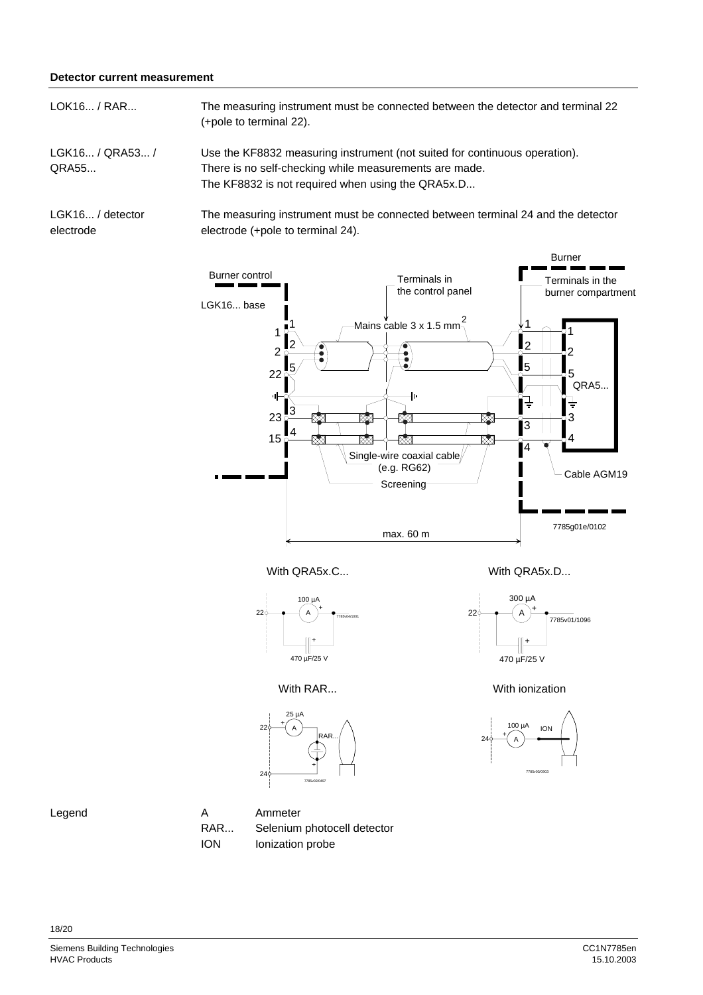## **Detector current measurement**

The measuring instrument must be connected between the detector and terminal 22 (+pole to terminal 22). LOK16... / RAR...

Use the KF8832 measuring instrument (not suited for continuous operation). There is no self-checking while measurements are made. The KF8832 is not required when using the QRA5x.D... LGK16... / QRA53... / QRA55...

LGK16... / detector electrode

The measuring instrument must be connected between terminal 24 and the detector electrode (+pole to terminal 24).



With QRA5x.C... With QRA5x.D...



25 µA

 $\frac{+}{A}$ 

+

7785v02/0497

RAR...

300 µA  $\overline{A}$ + 470 µF/25 V  $\frac{1}{7785}$ v $\frac{01}{1096}$ 

With RAR... With ionization







22

24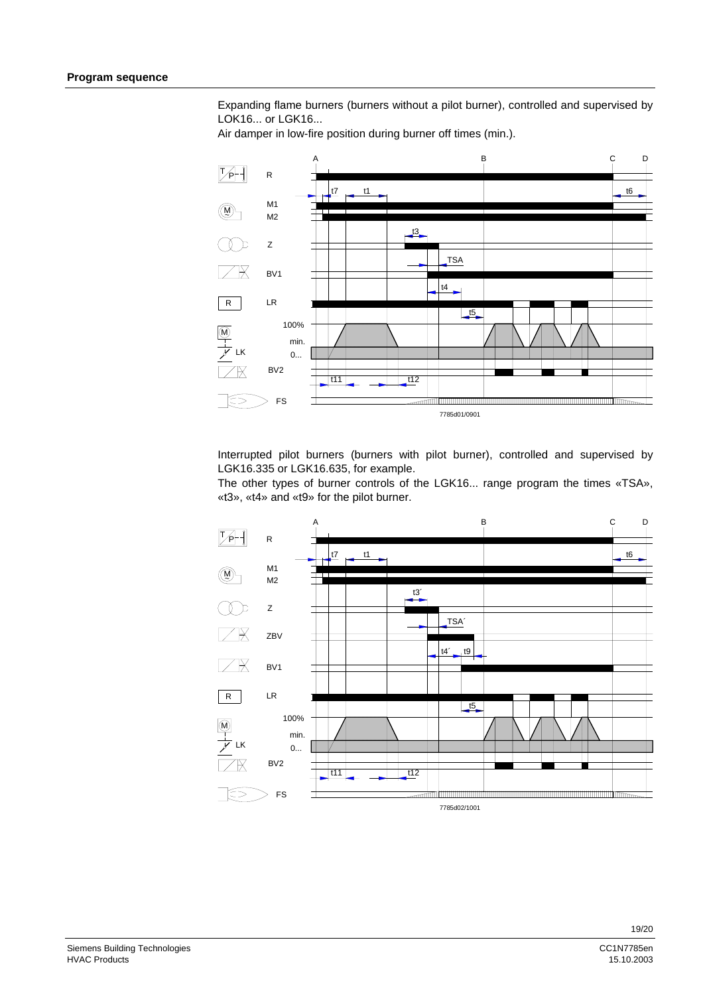Expanding flame burners (burners without a pilot burner), controlled and supervised by LOK16... or LGK16...

Air damper in low-fire position during burner off times (min.).



Interrupted pilot burners (burners with pilot burner), controlled and supervised by LGK16.335 or LGK16.635, for example.

The other types of burner controls of the LGK16... range program the times «TSA», «t3», «t4» and «t9» for the pilot burner.